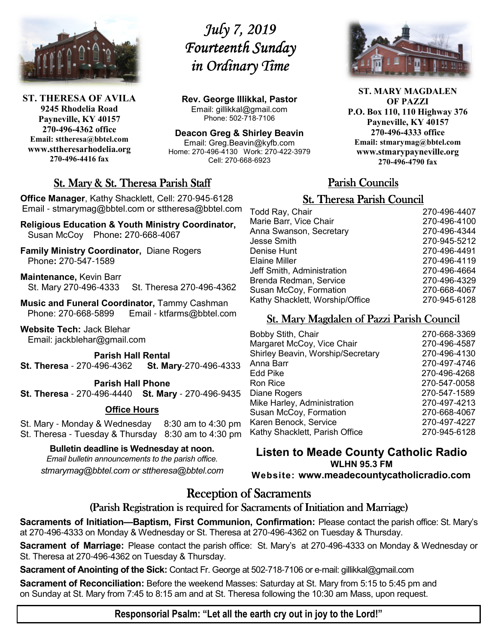

**ST. THERESA OF AVILA 9245 Rhodelia Road Payneville, KY 40157 270-496-4362 office Email: sttheresa@bbtel.com www.sttheresarhodelia.org 270-496-4416 fax**

# *July 7, 2019 July 7, 2019 Fourteenth Sunday in Ordinary Time*

**Rev. George Illikkal, Pastor** Email: gillikkal@gmail.com Phone: 502-718-7106

**Deacon Greg & Shirley Beavin** Email: Greg.Beavin@kyfb.com Home: 270-496-4130 Work: 270-422-3979 Cell: 270-668-6923

# St. Mary & St. Theresa Parish Staff

**Office Manager**, Kathy Shacklett, Cell: 270-945-6128 Email - stmarymag@bbtel.com or sttheresa@bbtel.com

**Religious Education & Youth Ministry Coordinator,** Susan McCoy Phone**:** 270-668-4067

**Family Ministry Coordinator,** Diane Rogers Phone**:** 270-547-1589

**Maintenance,** Kevin Barr St. Mary 270-496-4333 St. Theresa 270-496-4362

**Music and Funeral Coordinator, Tammy Cashman**<br>Phone: 270-668-5899 Email - ktfarms@bbtel.co Email - ktfarms@bbtel.com

**Website Tech:** Jack Blehar Email: jackblehar@gmail.com

**Parish Hall Rental St. Theresa** - 270-496-4362 **St. Mary**-270-496-4333

**Parish Hall Phone**

**St. Theresa** - 270-496-4440 **St. Mary** - 270-496-9435

#### **Office Hours**

St. Mary - Monday & Wednesday 8:30 am to 4:30 pm St. Theresa - Tuesday & Thursday 8:30 am to 4:30 pm

**Bulletin deadline is Wednesday at noon.**

*Email bulletin announcements to the parish office. stmarymag@bbtel.com or sttheresa@bbtel.com*



**ST. MARY MAGDALEN OF PAZZI P.O. Box 110, 110 Highway 376 Payneville, KY 40157 270-496-4333 office Email: stmarymag@bbtel.com www.stmarypayneville.org 270-496-4790 fax**

# Parish Councils

# **St. Theresa Parish Council**

| Todd Ray, Chair                 | 270-496-4407 |
|---------------------------------|--------------|
| Marie Barr, Vice Chair          | 270-496-4100 |
| Anna Swanson, Secretary         | 270-496-4344 |
| Jesse Smith                     | 270-945-5212 |
| Denise Hunt                     | 270-496-4491 |
| Elaine Miller                   | 270-496-4119 |
| Jeff Smith, Administration      | 270-496-4664 |
| Brenda Redman, Service          | 270-496-4329 |
| Susan McCoy, Formation          | 270-668-4067 |
| Kathy Shacklett, Worship/Office | 270-945-6128 |
|                                 |              |

# St. Mary Magdalen of Pazzi Parish Council

| <b>Bobby Stith, Chair</b>         | 270-668-3369 |
|-----------------------------------|--------------|
| Margaret McCoy, Vice Chair        | 270-496-4587 |
| Shirley Beavin, Worship/Secretary | 270-496-4130 |
| Anna Barr                         | 270-497-4746 |
| Edd Pike                          | 270-496-4268 |
| Ron Rice                          | 270-547-0058 |
| Diane Rogers                      | 270-547-1589 |
| Mike Harley, Administration       | 270-497-4213 |
| Susan McCoy, Formation            | 270-668-4067 |
| Karen Benock, Service             | 270-497-4227 |
| Kathy Shacklett, Parish Office    | 270-945-6128 |
|                                   |              |

**Listen to Meade County Catholic Radio WLHN 95.3 FM Website: www.meadecountycatholicradio.com**

# **Reception of Sacraments**

### (Parish Registration is required for Sacraments of Initiation and Marriage)

**Sacraments of Initiation—Baptism, First Communion, Confirmation:** Please contact the parish office: St. Mary's at 270-496-4333 on Monday & Wednesday or St. Theresa at 270-496-4362 on Tuesday & Thursday.

**Sacrament of Marriage:** Please contact the parish office: St. Mary's at 270-496-4333 on Monday & Wednesday or St. Theresa at 270-496-4362 on Tuesday & Thursday.

**Sacrament of Anointing of the Sick:** Contact Fr. George at 502-718-7106 or e-mail: gillikkal@gmail.com

**Sacrament of Reconciliation:** Before the weekend Masses: Saturday at St. Mary from 5:15 to 5:45 pm and on Sunday at St. Mary from 7:45 to 8:15 am and at St. Theresa following the 10:30 am Mass, upon request.

**Responsorial Psalm: "Let all the earth cry out in joy to the Lord!"**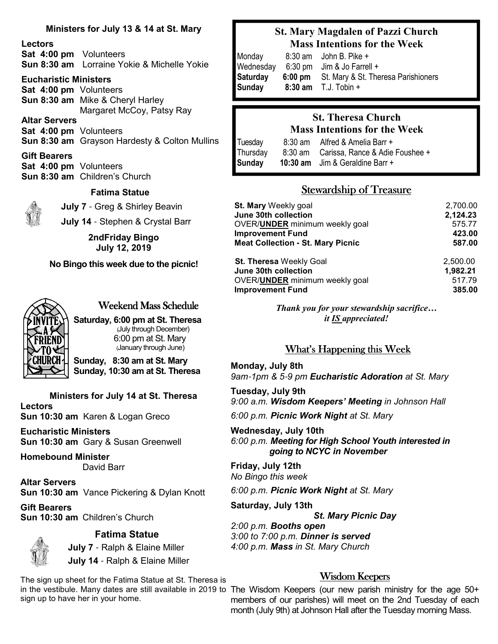#### **Ministers for July 13 & 14 at St. Mary**

#### **Lectors**

**Sat 4:00 pm** Volunteers **Sun 8:30 am** Lorraine Yokie & Michelle Yokie

#### **Eucharistic Ministers**

**Sat 4:00 pm** Volunteers **Sun 8:30 am** Mike & Cheryl Harley Margaret McCoy, Patsy Ray

**Altar Servers Sat 4:00 pm** Volunteers **Sun 8:30 am** Grayson Hardesty & Colton Mullins

**Gift Bearers Sat 4:00 pm** Volunteers **Sun 8:30 am** Children's Church

#### **Fatima Statue**

**July 7** - Greg & Shirley Beavin

**July 14** - Stephen & Crystal Barr

**2ndFriday Bingo July 12, 2019**

#### **No Bingo this week due to the picnic!**



# Weekend Mass Schedule

**Saturday, 6:00 pm at St. Theresa** (July through December) 6:00 pm at St. Mary (January through June)

**Sunday, 8:30 am at St. Mary Sunday, 10:30 am at St. Theresa**

**Ministers for July 14 at St. Theresa Lectors Sun 10:30 am** Karen & Logan Greco

**Eucharistic Ministers Sun 10:30 am** Gary & Susan Greenwell

**Homebound Minister**

David Barr

**Altar Servers Sun 10:30 am** Vance Pickering & Dylan Knott

**Gift Bearers Sun 10:30 am** Children's Church



#### **Fatima Statue**

 **July 7** - Ralph & Elaine Miller **July 14** - Ralph & Elaine Miller

The sign up sheet for the Fatima Statue at St. Theresa is sign up to have her in your home.

### **St. Mary Magdalen of Pazzi Church Mass Intentions for the Week**

| Monday<br>Wednesday | $8:30$ am John B. Pike +<br>$6:30 \text{ pm}$ Jim & Jo Farrell +             |
|---------------------|------------------------------------------------------------------------------|
| Saturday<br>Sunday  | 6:00 pm St. Mary & St. Theresa Parishioners<br><b>8:30 am</b> $T.J. Tobin +$ |

# **St. Theresa Church Mass Intentions for the Week**

Tuesday8:30 am Alfred & Amelia Barr + Thursday 8:30 am Carissa, Rance & Adie Foushee + **Sunday 10:30 am** Jim & Geraldine Barr +

# **Stewardship of Treasure**

| <b>St. Mary Weekly goal</b>              | 2,700.00 |  |
|------------------------------------------|----------|--|
| June 30th collection                     | 2,124.23 |  |
| OVER/ <b>UNDER</b> minimum weekly goal   | 575.77   |  |
| <b>Improvement Fund</b>                  | 423.00   |  |
| <b>Meat Collection - St. Mary Picnic</b> | 587.00   |  |
| St. Theresa Weekly Goal                  | 2,500.00 |  |
| June 30th collection                     | 1,982.21 |  |
| OVER/UNDER minimum weekly goal           | 517.79   |  |
| <b>Improvement Fund</b>                  | 385,00   |  |

*Thank you for your stewardship sacrifice… it IS appreciated!*

### What's Happening this Week

**Monday, July 8th** *9am*-*1pm & 5*-*9 pm Eucharistic Adoration at St. Mary*

**Tuesday, July 9th** *9:00 a.m. Wisdom Keepers' Meeting in Johnson Hall* 

*6:00 p.m. Picnic Work Night at St. Mary*

**Wednesday, July 10th** *6:00 p.m. Meeting for High School Youth interested in going to NCYC in November*

**Friday, July 12th** *No Bingo this week*

*6:00 p.m. Picnic Work Night at St. Mary*

**Saturday, July 13th**

*St. Mary Picnic Day*

*2:00 p.m. Booths open 3:00 to 7:00 p.m. Dinner is served 4:00 p.m. Mass in St. Mary Church*

### Wisdom Keepers

in the vestibule. Many dates are still available in 2019 to The Wisdom Keepers (our new parish ministry for the age 50+ members of our parishes) will meet on the 2nd Tuesday of each month (July 9th) at Johnson Hall after the Tuesday morning Mass.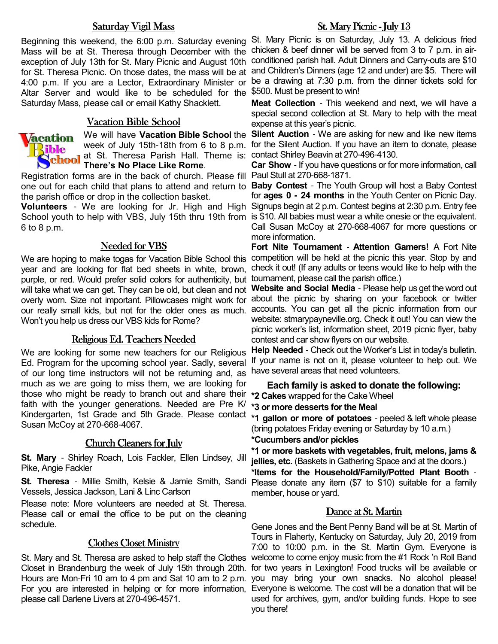#### Saturday Vigil Mass

Mass will be at St. Theresa through December with the exception of July 13th for St. Mary Picnic and August 10th conditioned parish hall. Adult Dinners and Carry-outs are \$10 for St. Theresa Picnic. On those dates, the mass will be at 4:00 p.m. If you are a Lector, Extraordinary Minister or Altar Server and would like to be scheduled for the Saturday Mass, please call or email Kathy Shacklett.

#### Vacation Bible School Vacation Bible School



at St. Theresa Parish Hall. Theme is: contact Shirley Beavin at 270-496-4130. **There's No Place Like Rome**.

Registration forms are in the back of church. Please fill Paul Stull at 270-668-1871. one out for each child that plans to attend and return to **Baby Contest** - The Youth Group will host a Baby Contest the parish office or drop in the collection basket.

School youth to help with VBS, July 15th thru 19th from is \$10. All babies must wear a white onesie or the equivalent. 6 to 8 p.m.

#### Needed for VBS

We are hoping to make togas for Vacation Bible School this year and are looking for flat bed sheets in white, brown, purple, or red. Would prefer solid colors for authenticity, but will take what we can get. They can be old, but clean and not overly worn. Size not important. Pillowcases might work for our really small kids, but not for the older ones as much. accounts. You can get all the picnic information from our Won't you help us dress our VBS kids for Rome?

#### Religious Ed. Teachers Needed

We are looking for some new teachers for our Religious Ed. Program for the upcoming school year. Sadly, several of our long time instructors will not be returning and, as much as we are going to miss them, we are looking for those who might be ready to branch out and share their faith with the younger generations. Needed are Pre K/ Kindergarten, 1st Grade and 5th Grade. Please contact **\*1 gallon or more of potatoes** - peeled & left whole please Susan McCoy at 270-668-4067.

#### Church Cleaners for July

**St. Mary** - Shirley Roach, Lois Fackler, Ellen Lindsey, Jill Pike, Angie Fackler

**St. Theresa** - Millie Smith, Kelsie & Jamie Smith, Sandi Vessels, Jessica Jackson, Lani & Linc Carlson

Please note: More volunteers are needed at St. Theresa. Please call or email the office to be put on the cleaning schedule.

#### **Clothes Closet Ministry**

St. Mary and St. Theresa are asked to help staff the Clothes Closet in Brandenburg the week of July 15th through 20th. please call Darlene Livers at 270-496-4571.

#### St. Mary Picnic - July 13

Beginning this weekend, the 6:00 p.m. Saturday evening St. Mary Picnic is on Saturday, July 13. A delicious fried chicken & beef dinner will be served from 3 to 7 p.m. in airand Children's Dinners (age 12 and under) are \$5. There will be a drawing at 7:30 p.m. from the dinner tickets sold for \$500. Must be present to win!

> **Meat Collection** - This weekend and next, we will have a special second collection at St. Mary to help with the meat expense at this year's picnic.

We will have Vacation Bible School the Silent Auction - We are asking for new and like new items week of July 15th-18th from 6 to 8 p.m. for the Silent Auction. If you have an item to donate, please

**Car Show** - If you have questions or for more information, call

Volunteers - We are looking for Jr. High and High Signups begin at 2 p.m. Contest begins at 2:30 p.m. Entry fee for **ages 0 - 24 months** in the Youth Center on Picnic Day. Call Susan McCoy at 270-668-4067 for more questions or more information.

> **Fort Nite Tournament** - **Attention Gamers!** A Fort Nite competition will be held at the picnic this year. Stop by and check it out! (If any adults or teens would like to help with the tournament, please call the parish office.)

> **Website and Social Media** - Please help us get the word out about the picnic by sharing on your facebook or twitter website: stmarypayneville.org. Check it out! You can view the picnic worker's list, information sheet, 2019 picnic flyer, baby contest and car show flyers on our website.

> **Help Needed** - Check out the Worker's List in today's bulletin. If your name is not on it, please volunteer to help out. We have several areas that need volunteers.

**Each family is asked to donate the following: \*2 Cakes** wrapped for the Cake Wheel

**\*3 or more desserts for the Meal**

(bring potatoes Friday evening or Saturday by 10 a.m.)

#### **\*Cucumbers and/or pickles**

**\*1 or more baskets with vegetables, fruit, melons, jams & jellies, etc.** (Baskets in Gathering Space and at the doors.)

**\*Items for the Household/Family/Potted Plant Booth** - Please donate any item (\$7 to \$10) suitable for a family member, house or yard.

#### Dance at St. Martin

Hours are Mon-Fri 10 am to 4 pm and Sat 10 am to 2 p.m. you may bring your own snacks. No alcohol please! For you are interested in helping or for more information, Everyone is welcome. The cost will be a donation that will be Gene Jones and the Bent Penny Band will be at St. Martin of Tours in Flaherty, Kentucky on Saturday, July 20, 2019 from 7:00 to 10:00 p.m. in the St. Martin Gym. Everyone is welcome to come enjoy music from the #1 Rock 'n Roll Band for two years in Lexington! Food trucks will be available or used for archives, gym, and/or building funds. Hope to see you there!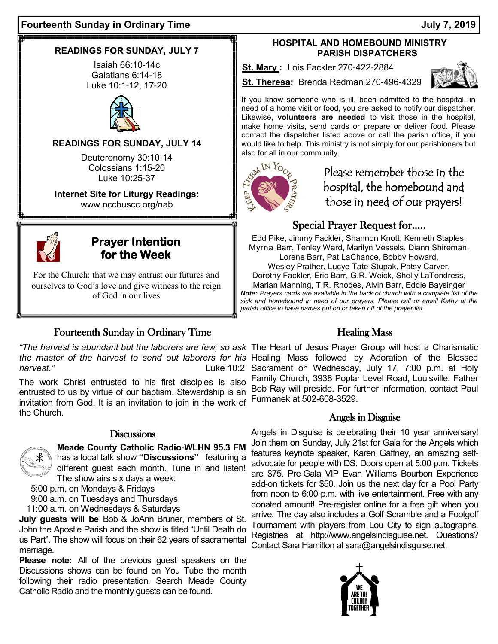# **READINGS FOR SUNDAY, JULY 7**

Isaiah 66:10-14c Galatians 6:14-18 Luke 10:1-12, 17-20



# **READINGS FOR SUNDAY, JULY 14**

Deuteronomy 30:10-14 Colossians 1:15-20 Luke 10:25-37

**Internet Site for Liturgy Readings:** www.nccbuscc.org/nab



# **Prayer Intention** for the Week

For the Church: that we may entrust our futures and ourselves to God's love and give witness to the reign of God in our lives

# Fourteenth Sunday in Ordinary Time

The work Christ entrusted to his first disciples is also entrusted to us by virtue of our baptism. Stewardship is an invitation from God. It is an invitation to join in the work of the Church.

# **Discussions**

**Meade County Catholic Radio**-**WLHN 95.3 FM**  has a local talk show **"Discussions"** featuring a different guest each month. Tune in and listen! The show airs six days a week:

5:00 p.m. on Mondays & Fridays

9:00 a.m. on Tuesdays and Thursdays

11:00 a.m. on Wednesdays & Saturdays

**July guests will be** Bob & JoAnn Bruner, members of St. John the Apostle Parish and the show is titled "Until Death do us Part". The show will focus on their 62 years of sacramental marriage.

**Please note:** All of the previous guest speakers on the Discussions shows can be found on You Tube the month following their radio presentation. Search Meade County Catholic Radio and the monthly guests can be found.

# **HOSPITAL AND HOMEBOUND MINISTRY PARISH DISPATCHERS**

**St. Mary :** Lois Fackler 270-422-2884

**St. Theresa:** Brenda Redman 270-496-4329



If you know someone who is ill, been admitted to the hospital, in need of a home visit or food, you are asked to notify our dispatcher. Likewise, **volunteers are needed** to visit those in the hospital, make home visits, send cards or prepare or deliver food. Please contact the dispatcher listed above or call the parish office, if you would like to help. This ministry is not simply for our parishioners but also for all in our community.



# Please remember those in the hospital, the homebound and those in need of our prayers!

# Special Prayer Request for.....

Edd Pike, Jimmy Fackler, Shannon Knott, Kenneth Staples, Myrna Barr, Tenley Ward, Marilyn Vessels, Diann Shireman, Lorene Barr, Pat LaChance, Bobby Howard, Wesley Prather, Lucye Tate-Stupak, Patsy Carver, Dorothy Fackler, Eric Barr, G.R. Weick, Shelly LaTondress, Marian Manning, T.R. Rhodes, Alvin Barr, Eddie Baysinger *Note: Prayers cards are available in the back of church with a complete list of the sick and homebound in need of our prayers. Please call or email Kathy at the parish office to have names put on or taken off of the prayer list.* 

# Healing Mass

"The harvest is abundant but the laborers are few; so ask The Heart of Jesus Prayer Group will host a Charismatic the master of the harvest to send out laborers for his Healing Mass followed by Adoration of the Blessed harvest." **Luke 10:2 Sacrament on Wednesday, July 17, 7:00 p.m. at Holy** harvest." Family Church, 3938 Poplar Level Road, Louisville. Father Bob Ray will preside. For further information, contact Paul Furmanek at 502-608-3529.

# Angels in Disguise

Angels in Disguise is celebrating their 10 year anniversary! Join them on Sunday, July 21st for Gala for the Angels which features keynote speaker, Karen Gaffney, an amazing selfadvocate for people with DS. Doors open at 5:00 p.m. Tickets are \$75. Pre-Gala VIP Evan Williams Bourbon Experience add-on tickets for \$50. Join us the next day for a Pool Party from noon to 6:00 p.m. with live entertainment. Free with any donated amount! Pre-register online for a free gift when you arrive. The day also includes a Golf Scramble and a Footgolf Tournament with players from Lou City to sign autographs. Registries at http://www.angelsindisguise.net. Questions? Contact Sara Hamilton at sara@angelsindisguise.net.

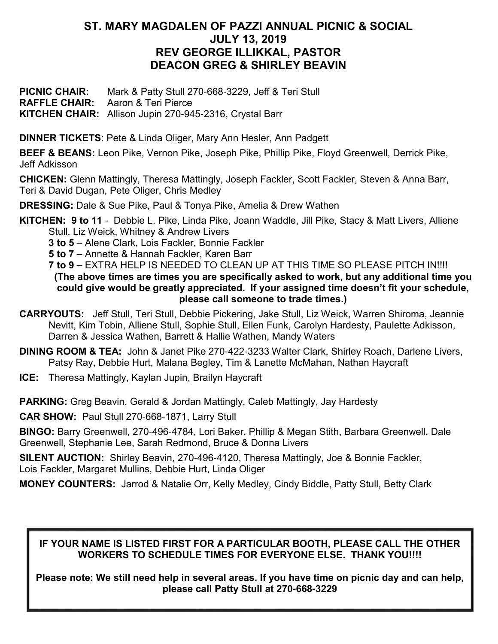# **ST. MARY MAGDALEN OF PAZZI ANNUAL PICNIC & SOCIAL JULY 13, 2019 REV GEORGE ILLIKKAL, PASTOR DEACON GREG & SHIRLEY BEAVIN**

**PICNIC CHAIR:** Mark & Patty Stull 270-668-3229, Jeff & Teri Stull **RAFFLE CHAIR:** Aaron & Teri Pierce **KITCHEN CHAIR:** Allison Jupin 270-945-2316, Crystal Barr

**DINNER TICKETS**: Pete & Linda Oliger, Mary Ann Hesler, Ann Padgett

**BEEF & BEANS:** Leon Pike, Vernon Pike, Joseph Pike, Phillip Pike, Floyd Greenwell, Derrick Pike, Jeff Adkisson

**CHICKEN:** Glenn Mattingly, Theresa Mattingly, Joseph Fackler, Scott Fackler, Steven & Anna Barr, Teri & David Dugan, Pete Oliger, Chris Medley

**DRESSING:** Dale & Sue Pike, Paul & Tonya Pike, Amelia & Drew Wathen

**KITCHEN: 9 to 11** - Debbie L. Pike, Linda Pike, Joann Waddle, Jill Pike, Stacy & Matt Livers, Alliene Stull, Liz Weick, Whitney & Andrew Livers

**3 to 5** – Alene Clark, Lois Fackler, Bonnie Fackler

**5 to 7** – Annette & Hannah Fackler, Karen Barr

**7 to 9** – EXTRA HELP IS NEEDED TO CLEAN UP AT THIS TIME SO PLEASE PITCH IN!!!! **(The above times are times you are specifically asked to work, but any additional time you could give would be greatly appreciated. If your assigned time doesn't fit your schedule, please call someone to trade times.)**

**CARRYOUTS:** Jeff Stull, Teri Stull, Debbie Pickering, Jake Stull, Liz Weick, Warren Shiroma, Jeannie Nevitt, Kim Tobin, Alliene Stull, Sophie Stull, Ellen Funk, Carolyn Hardesty, Paulette Adkisson, Darren & Jessica Wathen, Barrett & Hallie Wathen, Mandy Waters

**DINING ROOM & TEA:** John & Janet Pike 270-422-3233 Walter Clark, Shirley Roach, Darlene Livers, Patsy Ray, Debbie Hurt, Malana Begley, Tim & Lanette McMahan, Nathan Haycraft

**ICE:** Theresa Mattingly, Kaylan Jupin, Brailyn Haycraft

**PARKING:** Greg Beavin, Gerald & Jordan Mattingly, Caleb Mattingly, Jay Hardesty

**CAR SHOW:** Paul Stull 270-668-1871, Larry Stull

**BINGO:** Barry Greenwell, 270-496-4784, Lori Baker, Phillip & Megan Stith, Barbara Greenwell, Dale Greenwell, Stephanie Lee, Sarah Redmond, Bruce & Donna Livers

**SILENT AUCTION:** Shirley Beavin, 270-496-4120, Theresa Mattingly, Joe & Bonnie Fackler, Lois Fackler, Margaret Mullins, Debbie Hurt, Linda Oliger

**MONEY COUNTERS:** Jarrod & Natalie Orr, Kelly Medley, Cindy Biddle, Patty Stull, Betty Clark

# **IF YOUR NAME IS LISTED FIRST FOR A PARTICULAR BOOTH, PLEASE CALL THE OTHER WORKERS TO SCHEDULE TIMES FOR EVERYONE ELSE. THANK YOU!!!!**

**Please note: We still need help in several areas. If you have time on picnic day and can help, please call Patty Stull at 270-668-3229**